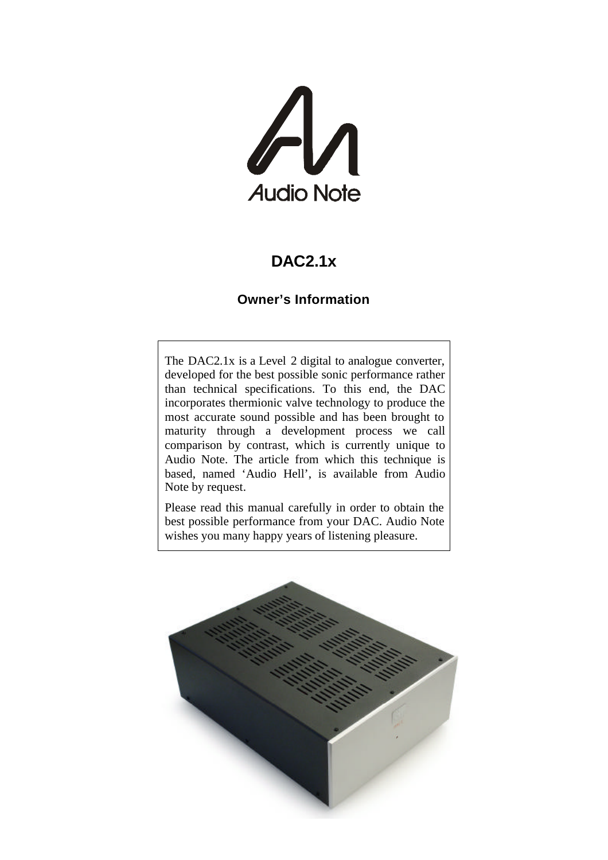

# **DAC2.1x**

### **Owner's Information**

The DAC2.1x is a Level 2 digital to analogue converter, developed for the best possible sonic performance rather than technical specifications. To this end, the DAC incorporates thermionic valve technology to produce the most accurate sound possible and has been brought to maturity through a development process we call comparison by contrast, which is currently unique to Audio Note. The article from which this technique is based, named 'Audio Hell', is available from Audio Note by request.

Please read this manual carefully in order to obtain the best possible performance from your DAC. Audio Note wishes you many happy years of listening pleasure.

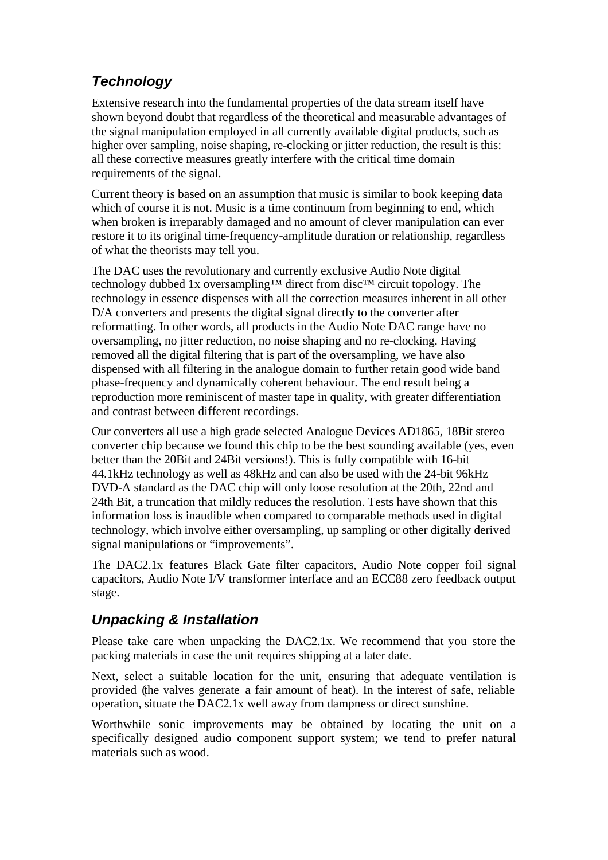# *Technology*

Extensive research into the fundamental properties of the data stream itself have shown beyond doubt that regardless of the theoretical and measurable advantages of the signal manipulation employed in all currently available digital products, such as higher over sampling, noise shaping, re-clocking or jitter reduction, the result is this: all these corrective measures greatly interfere with the critical time domain requirements of the signal.

Current theory is based on an assumption that music is similar to book keeping data which of course it is not. Music is a time continuum from beginning to end, which when broken is irreparably damaged and no amount of clever manipulation can ever restore it to its original time-frequency-amplitude duration or relationship, regardless of what the theorists may tell you.

The DAC uses the revolutionary and currently exclusive Audio Note digital technology dubbed 1x oversampling™ direct from disc™ circuit topology. The technology in essence dispenses with all the correction measures inherent in all other D/A converters and presents the digital signal directly to the converter after reformatting. In other words, all products in the Audio Note DAC range have no oversampling, no jitter reduction, no noise shaping and no re-clocking. Having removed all the digital filtering that is part of the oversampling, we have also dispensed with all filtering in the analogue domain to further retain good wide band phase-frequency and dynamically coherent behaviour. The end result being a reproduction more reminiscent of master tape in quality, with greater differentiation and contrast between different recordings.

Our converters all use a high grade selected Analogue Devices AD1865, 18Bit stereo converter chip because we found this chip to be the best sounding available (yes, even better than the 20Bit and 24Bit versions!). This is fully compatible with 16-bit 44.1kHz technology as well as 48kHz and can also be used with the 24-bit 96kHz DVD-A standard as the DAC chip will only loose resolution at the 20th, 22nd and 24th Bit, a truncation that mildly reduces the resolution. Tests have shown that this information loss is inaudible when compared to comparable methods used in digital technology, which involve either oversampling, up sampling or other digitally derived signal manipulations or "improvements".

The DAC2.1x features Black Gate filter capacitors, Audio Note copper foil signal capacitors, Audio Note I/V transformer interface and an ECC88 zero feedback output stage.

## *Unpacking & Installation*

Please take care when unpacking the DAC2.1x. We recommend that you store the packing materials in case the unit requires shipping at a later date.

Next, select a suitable location for the unit, ensuring that adequate ventilation is provided (the valves generate a fair amount of heat). In the interest of safe, reliable operation, situate the DAC2.1x well away from dampness or direct sunshine.

Worthwhile sonic improvements may be obtained by locating the unit on a specifically designed audio component support system; we tend to prefer natural materials such as wood.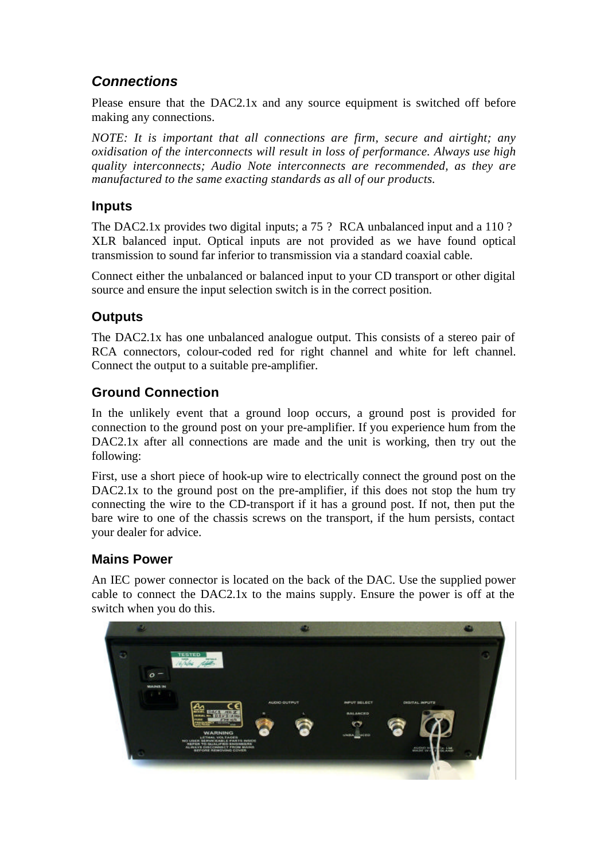## *Connections*

Please ensure that the DAC2.1x and any source equipment is switched off before making any connections.

*NOTE: It is important that all connections are firm, secure and airtight; any oxidisation of the interconnects will result in loss of performance. Always use high quality interconnects; Audio Note interconnects are recommended, as they are manufactured to the same exacting standards as all of our products.*

### **Inputs**

The DAC2.1x provides two digital inputs; a 75 ? RCA unbalanced input and a 110 ? XLR balanced input. Optical inputs are not provided as we have found optical transmission to sound far inferior to transmission via a standard coaxial cable.

Connect either the unbalanced or balanced input to your CD transport or other digital source and ensure the input selection switch is in the correct position.

### **Outputs**

The DAC2.1x has one unbalanced analogue output. This consists of a stereo pair of RCA connectors, colour-coded red for right channel and white for left channel. Connect the output to a suitable pre-amplifier.

### **Ground Connection**

In the unlikely event that a ground loop occurs, a ground post is provided for connection to the ground post on your pre-amplifier. If you experience hum from the DAC2.1x after all connections are made and the unit is working, then try out the following:

First, use a short piece of hook-up wire to electrically connect the ground post on the DAC2.1x to the ground post on the pre-amplifier, if this does not stop the hum try connecting the wire to the CD-transport if it has a ground post. If not, then put the bare wire to one of the chassis screws on the transport, if the hum persists, contact your dealer for advice.

#### **Mains Power**

An IEC power connector is located on the back of the DAC. Use the supplied power cable to connect the DAC2.1x to the mains supply. Ensure the power is off at the switch when you do this.

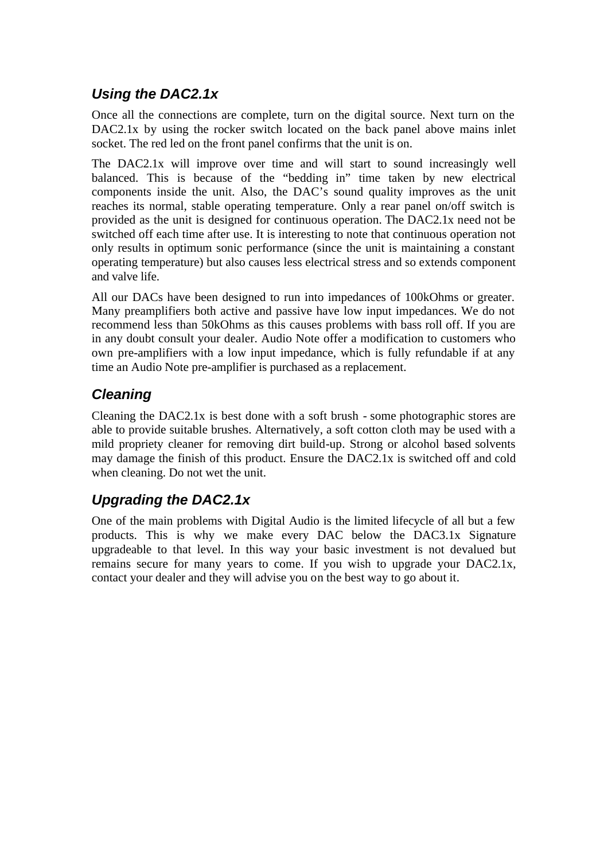## *Using the DAC2.1x*

Once all the connections are complete, turn on the digital source. Next turn on the DAC2.1x by using the rocker switch located on the back panel above mains inlet socket. The red led on the front panel confirms that the unit is on.

The DAC2.1x will improve over time and will start to sound increasingly well balanced. This is because of the "bedding in" time taken by new electrical components inside the unit. Also, the DAC's sound quality improves as the unit reaches its normal, stable operating temperature. Only a rear panel on/off switch is provided as the unit is designed for continuous operation. The DAC2.1x need not be switched off each time after use. It is interesting to note that continuous operation not only results in optimum sonic performance (since the unit is maintaining a constant operating temperature) but also causes less electrical stress and so extends component and valve life.

All our DACs have been designed to run into impedances of 100kOhms or greater. Many preamplifiers both active and passive have low input impedances. We do not recommend less than 50kOhms as this causes problems with bass roll off. If you are in any doubt consult your dealer. Audio Note offer a modification to customers who own pre-amplifiers with a low input impedance, which is fully refundable if at any time an Audio Note pre-amplifier is purchased as a replacement.

## *Cleaning*

Cleaning the DAC2.1x is best done with a soft brush - some photographic stores are able to provide suitable brushes. Alternatively, a soft cotton cloth may be used with a mild propriety cleaner for removing dirt build-up. Strong or alcohol based solvents may damage the finish of this product. Ensure the DAC2.1x is switched off and cold when cleaning. Do not wet the unit.

# *Upgrading the DAC2.1x*

One of the main problems with Digital Audio is the limited lifecycle of all but a few products. This is why we make every DAC below the DAC3.1x Signature upgradeable to that level. In this way your basic investment is not devalued but remains secure for many years to come. If you wish to upgrade your DAC2.1x, contact your dealer and they will advise you on the best way to go about it.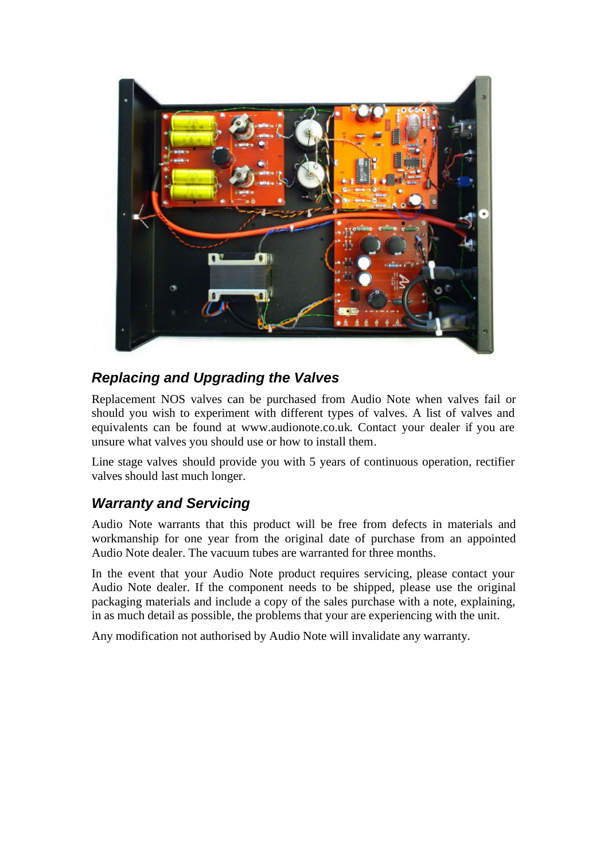

## *Replacing and Upgrading the Valves*

Replacement NOS valves can be purchased from Audio Note when valves fail or should you wish to experiment with different types of valves. A list of valves and equivalents can be found at www.audionote.co.uk. Contact your dealer if you are unsure what valves you should use or how to install them.

Line stage valves should provide you with 5 years of continuous operation, rectifier valves should last much longer.

## *Warranty and Servicing*

Audio Note warrants that this product will be free from defects in materials and workmanship for one year from the original date of purchase from an appointed Audio Note dealer. The vacuum tubes are warranted for three months.

In the event that your Audio Note product requires servicing, please contact your Audio Note dealer. If the component needs to be shipped, please use the original packaging materials and include a copy of the sales purchase with a note, explaining, in as much detail as possible, the problems that your are experiencing with the unit.

Any modification not authorised by Audio Note will invalidate any warranty.